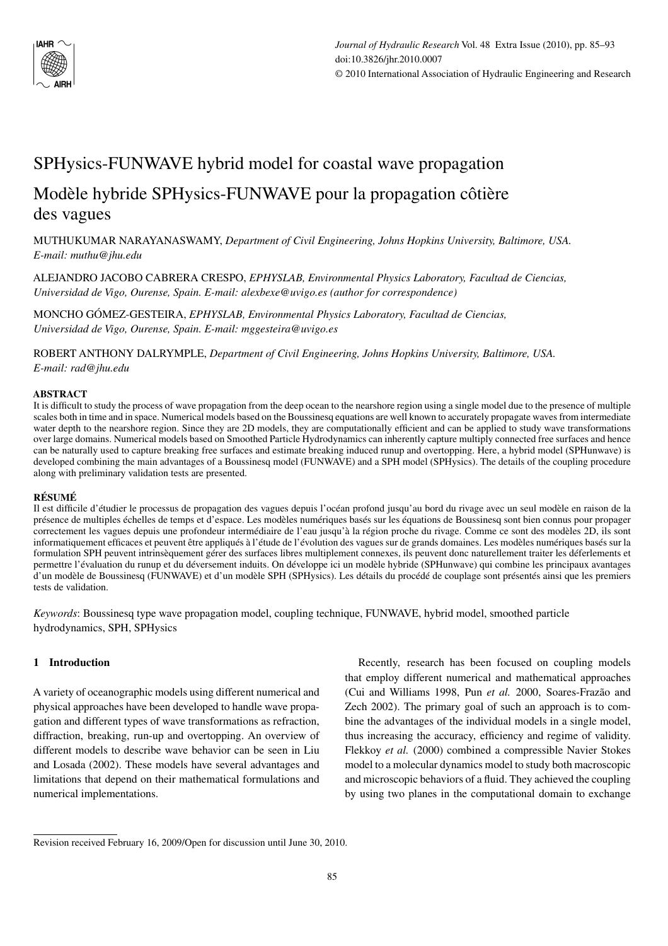

# SPHysics-FUNWAVE hybrid model for coastal wave propagation

# Modèle hybride SPHysics-FUNWAVE pour la propagation côtière des vagues

MUTHUKUMAR NARAYANASWAMY, *Department of Civil Engineering, Johns Hopkins University, Baltimore, USA. E-mail: muthu@jhu.edu*

ALEJANDRO JACOBO CABRERA CRESPO, *EPHYSLAB, Environmental Physics Laboratory, Facultad de Ciencias, Universidad de Vigo, Ourense, Spain. E-mail: alexbexe@uvigo.es (author for correspondence)*

MONCHO GÓMEZ-GESTEIRA, *EPHYSLAB, Environmental Physics Laboratory, Facultad de Ciencias, Universidad de Vigo, Ourense, Spain. E-mail: mggesteira@uvigo.es*

ROBERT ANTHONY DALRYMPLE, *Department of Civil Engineering, Johns Hopkins University, Baltimore, USA. E-mail: rad@jhu.edu*

## **ABSTRACT**

It is difficult to study the process of wave propagation from the deep ocean to the nearshore region using a single model due to the presence of multiple scales both in time and in space. Numerical models based on the Boussinesq equations are well known to accurately propagate waves from intermediate water depth to the nearshore region. Since they are 2D models, they are computationally efficient and can be applied to study wave transformations over large domains. Numerical models based on Smoothed Particle Hydrodynamics can inherently capture multiply connected free surfaces and hence can be naturally used to capture breaking free surfaces and estimate breaking induced runup and overtopping. Here, a hybrid model (SPHunwave) is developed combining the main advantages of a Boussinesq model (FUNWAVE) and a SPH model (SPHysics). The details of the coupling procedure along with preliminary validation tests are presented.

# **RÉSUMÉ**

Il est difficile d'étudier le processus de propagation des vagues depuis l'océan profond jusqu'au bord du rivage avec un seul modèle en raison de la présence de multiples échelles de temps et d'espace. Les modèles numériques basés sur les équations de Boussinesq sont bien connus pour propager correctement les vagues depuis une profondeur intermédiaire de l'eau jusqu'à la région proche du rivage. Comme ce sont des modèles 2D, ils sont informatiquement efficaces et peuvent être appliqués à l'étude de l'évolution des vagues sur de grands domaines. Les modèles numériques basés sur la formulation SPH peuvent intrinsèquement gérer des surfaces libres multiplement connexes, ils peuvent donc naturellement traiter les déferlements et permettre l'évaluation du runup et du déversement induits. On développe ici un modèle hybride (SPHunwave) qui combine les principaux avantages d'un modèle de Boussinesq (FUNWAVE) et d'un modèle SPH (SPHysics). Les détails du procédé de couplage sont présentés ainsi que les premiers tests de validation.

*Keywords*: Boussinesq type wave propagation model, coupling technique, FUNWAVE, hybrid model, smoothed particle hydrodynamics, SPH, SPHysics

# **1 Introduction**

A variety of oceanographic models using different numerical and physical approaches have been developed to handle wave propagation and different types of wave transformations as refraction, diffraction, breaking, run-up and overtopping. An overview of different models to describe wave behavior can be seen in Liu and Losada (2002). These models have several advantages and limitations that depend on their mathematical formulations and numerical implementations.

Recently, research has been focused on coupling models that employ different numerical and mathematical approaches (Cui and Williams 1998, Pun *et al.* 2000, Soares-Frazão and Zech 2002). The primary goal of such an approach is to combine the advantages of the individual models in a single model, thus increasing the accuracy, efficiency and regime of validity. Flekkoy *et al.* (2000) combined a compressible Navier Stokes model to a molecular dynamics model to study both macroscopic and microscopic behaviors of a fluid. They achieved the coupling by using two planes in the computational domain to exchange

Revision received February 16, 2009/Open for discussion until June 30, 2010.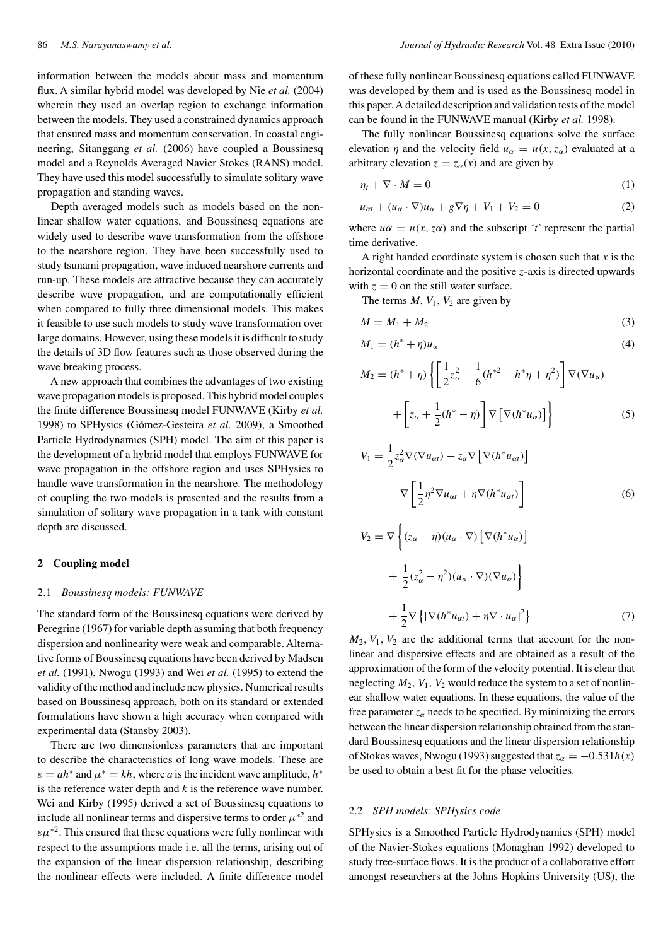information between the models about mass and momentum flux. A similar hybrid model was developed by Nie *et al.* (2004) wherein they used an overlap region to exchange information between the models. They used a constrained dynamics approach that ensured mass and momentum conservation. In coastal engineering, Sitanggang *et al.* (2006) have coupled a Boussinesq model and a Reynolds Averaged Navier Stokes (RANS) model. They have used this model successfully to simulate solitary wave propagation and standing waves.

Depth averaged models such as models based on the nonlinear shallow water equations, and Boussinesq equations are widely used to describe wave transformation from the offshore to the nearshore region. They have been successfully used to study tsunami propagation, wave induced nearshore currents and run-up. These models are attractive because they can accurately describe wave propagation, and are computationally efficient when compared to fully three dimensional models. This makes it feasible to use such models to study wave transformation over large domains. However, using these models it is difficult to study the details of 3D flow features such as those observed during the wave breaking process.

A new approach that combines the advantages of two existing wave propagation models is proposed. This hybrid model couples the finite difference Boussinesq model FUNWAVE (Kirby *et al.* 1998) to SPHysics (Gómez-Gesteira *et al.* 2009), a Smoothed Particle Hydrodynamics (SPH) model. The aim of this paper is the development of a hybrid model that employs FUNWAVE for wave propagation in the offshore region and uses SPHysics to handle wave transformation in the nearshore. The methodology of coupling the two models is presented and the results from a simulation of solitary wave propagation in a tank with constant depth are discussed.

#### **2 Coupling model**

#### 2.1 *Boussinesq models: FUNWAVE*

The standard form of the Boussinesq equations were derived by Peregrine (1967) for variable depth assuming that both frequency dispersion and nonlinearity were weak and comparable. Alternative forms of Boussinesq equations have been derived by Madsen *et al.* (1991), Nwogu (1993) and Wei *et al.* (1995) to extend the validity of the method and include new physics. Numerical results based on Boussinesq approach, both on its standard or extended formulations have shown a high accuracy when compared with experimental data (Stansby 2003).

There are two dimensionless parameters that are important to describe the characteristics of long wave models. These are  $\varepsilon = ah^*$  and  $\mu^* = kh$ , where *a* is the incident wave amplitude,  $h^*$ is the reference water depth and *k* is the reference wave number. Wei and Kirby (1995) derived a set of Boussinesq equations to include all nonlinear terms and dispersive terms to order  $\mu^*$ <sup>2</sup> and  $\epsilon \mu^{*2}$ . This ensured that these equations were fully nonlinear with respect to the assumptions made i.e. all the terms, arising out of the expansion of the linear dispersion relationship, describing the nonlinear effects were included. A finite difference model

of these fully nonlinear Boussinesq equations called FUNWAVE was developed by them and is used as the Boussinesq model in this paper. A detailed description and validation tests of the model can be found in the FUNWAVE manual (Kirby *et al.* 1998).

The fully nonlinear Boussinesq equations solve the surface elevation *η* and the velocity field  $u_\alpha = u(x, z_\alpha)$  evaluated at a arbitrary elevation  $z = z_\alpha(x)$  and are given by

$$
\eta_t + \nabla \cdot M = 0 \tag{1}
$$

$$
u_{\alpha t} + (u_{\alpha} \cdot \nabla)u_{\alpha} + g \nabla \eta + V_1 + V_2 = 0 \tag{2}
$$

where  $u\alpha = u(x, z\alpha)$  and the subscript '*t*' represent the partial time derivative.

A right handed coordinate system is chosen such that *x* is the horizontal coordinate and the positive *z*-axis is directed upwards with  $z = 0$  on the still water surface.

The terms  $M$ ,  $V_1$ ,  $V_2$  are given by

$$
M = M_1 + M_2 \tag{3}
$$

$$
M_1 = (h^* + \eta)u_\alpha \tag{4}
$$

$$
M_2 = (h^* + \eta) \left\{ \left[ \frac{1}{2} z_\alpha^2 - \frac{1}{6} (h^{*2} - h^* \eta + \eta^2) \right] \nabla (\nabla u_\alpha) + \left[ z_\alpha + \frac{1}{2} (h^* - \eta) \right] \nabla \left[ \nabla (h^* u_\alpha) \right] \right\}
$$
(5)

$$
V_1 = \frac{1}{2} z_{\alpha}^2 \nabla (\nabla u_{\alpha t}) + z_{\alpha} \nabla \left[ \nabla (h^* u_{\alpha t}) \right]
$$

$$
- \nabla \left[ \frac{1}{2} \eta^2 \nabla u_{\alpha t} + \eta \nabla (h^* u_{\alpha t}) \right]
$$

$$
V_2 = \nabla \left\{ (z_{\alpha} - \eta) (u_{\alpha} \cdot \nabla) \left[ \nabla (h^* u_{\alpha}) \right] + \frac{1}{2} (z_{\alpha}^2 - \eta^2) (u_{\alpha} \cdot \nabla) (\nabla u_{\alpha}) \right\}
$$
(6)

$$
+\frac{1}{2}\nabla\left\{\left[\nabla(h^*u_{\alpha t})+\eta\nabla\cdot u_{\alpha}\right]^2\right\}\tag{7}
$$

 $M_2$ ,  $V_1$ ,  $V_2$  are the additional terms that account for the nonlinear and dispersive effects and are obtained as a result of the approximation of the form of the velocity potential. It is clear that neglecting  $M_2$ ,  $V_1$ ,  $V_2$  would reduce the system to a set of nonlinear shallow water equations. In these equations, the value of the free parameter  $z_\alpha$  needs to be specified. By minimizing the errors between the linear dispersion relationship obtained from the standard Boussinesq equations and the linear dispersion relationship of Stokes waves, Nwogu (1993) suggested that  $z_\alpha = -0.531h(x)$ be used to obtain a best fit for the phase velocities.

#### 2.2 *SPH models: SPHysics code*

 $^{+}$ 

SPHysics is a Smoothed Particle Hydrodynamics (SPH) model of the Navier-Stokes equations (Monaghan 1992) developed to study free-surface flows. It is the product of a collaborative effort amongst researchers at the Johns Hopkins University (US), the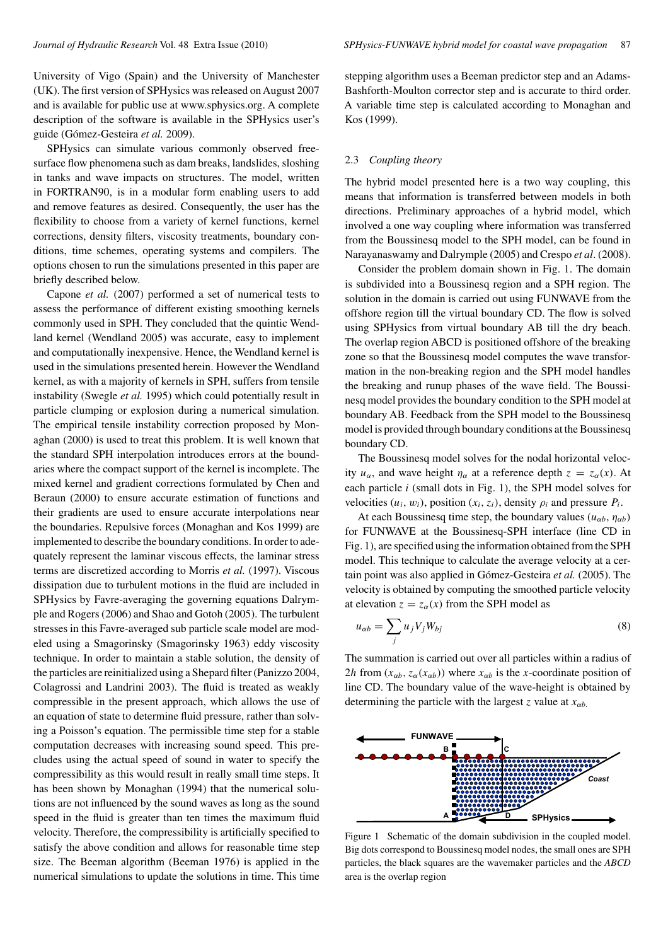University of Vigo (Spain) and the University of Manchester (UK). The first version of SPHysics was released on August 2007 and is available for public use at www.sphysics.org. A complete description of the software is available in the SPHysics user's guide (Gómez-Gesteira *et al.* 2009).

SPHysics can simulate various commonly observed freesurface flow phenomena such as dam breaks, landslides, sloshing in tanks and wave impacts on structures. The model, written in FORTRAN90, is in a modular form enabling users to add and remove features as desired. Consequently, the user has the flexibility to choose from a variety of kernel functions, kernel corrections, density filters, viscosity treatments, boundary conditions, time schemes, operating systems and compilers. The options chosen to run the simulations presented in this paper are briefly described below.

Capone *et al.* (2007) performed a set of numerical tests to assess the performance of different existing smoothing kernels commonly used in SPH. They concluded that the quintic Wendland kernel (Wendland 2005) was accurate, easy to implement and computationally inexpensive. Hence, the Wendland kernel is used in the simulations presented herein. However the Wendland kernel, as with a majority of kernels in SPH, suffers from tensile instability (Swegle *et al.* 1995) which could potentially result in particle clumping or explosion during a numerical simulation. The empirical tensile instability correction proposed by Monaghan (2000) is used to treat this problem. It is well known that the standard SPH interpolation introduces errors at the boundaries where the compact support of the kernel is incomplete. The mixed kernel and gradient corrections formulated by Chen and Beraun (2000) to ensure accurate estimation of functions and their gradients are used to ensure accurate interpolations near the boundaries. Repulsive forces (Monaghan and Kos 1999) are implemented to describe the boundary conditions. In order to adequately represent the laminar viscous effects, the laminar stress terms are discretized according to Morris *et al.* (1997). Viscous dissipation due to turbulent motions in the fluid are included in SPHysics by Favre-averaging the governing equations Dalrymple and Rogers (2006) and Shao and Gotoh (2005). The turbulent stresses in this Favre-averaged sub particle scale model are modeled using a Smagorinsky (Smagorinsky 1963) eddy viscosity technique. In order to maintain a stable solution, the density of the particles are reinitialized using a Shepard filter (Panizzo 2004, Colagrossi and Landrini 2003). The fluid is treated as weakly compressible in the present approach, which allows the use of an equation of state to determine fluid pressure, rather than solving a Poisson's equation. The permissible time step for a stable computation decreases with increasing sound speed. This precludes using the actual speed of sound in water to specify the compressibility as this would result in really small time steps. It has been shown by Monaghan (1994) that the numerical solutions are not influenced by the sound waves as long as the sound speed in the fluid is greater than ten times the maximum fluid velocity. Therefore, the compressibility is artificially specified to satisfy the above condition and allows for reasonable time step size. The Beeman algorithm (Beeman 1976) is applied in the numerical simulations to update the solutions in time. This time

stepping algorithm uses a Beeman predictor step and an Adams-Bashforth-Moulton corrector step and is accurate to third order. A variable time step is calculated according to Monaghan and Kos (1999).

#### 2.3 *Coupling theory*

The hybrid model presented here is a two way coupling, this means that information is transferred between models in both directions. Preliminary approaches of a hybrid model, which involved a one way coupling where information was transferred from the Boussinesq model to the SPH model, can be found in Narayanaswamy and Dalrymple (2005) and Crespo *et al*. (2008).

Consider the problem domain shown in Fig. 1. The domain is subdivided into a Boussinesq region and a SPH region. The solution in the domain is carried out using FUNWAVE from the offshore region till the virtual boundary CD. The flow is solved using SPHysics from virtual boundary AB till the dry beach. The overlap region ABCD is positioned offshore of the breaking zone so that the Boussinesq model computes the wave transformation in the non-breaking region and the SPH model handles the breaking and runup phases of the wave field. The Boussinesq model provides the boundary condition to the SPH model at boundary AB. Feedback from the SPH model to the Boussinesq model is provided through boundary conditions at the Boussinesq boundary CD.

The Boussinesq model solves for the nodal horizontal velocity  $u_{\alpha}$ , and wave height  $\eta_{\alpha}$  at a reference depth  $z = z_{\alpha}(x)$ . At each particle *i* (small dots in Fig. 1), the SPH model solves for velocities  $(u_i, w_i)$ , position  $(x_i, z_i)$ , density  $\rho_i$  and pressure  $P_i$ .

At each Boussinesq time step, the boundary values  $(u_{\alpha b}, \eta_{\alpha b})$ for FUNWAVE at the Boussinesq-SPH interface (line CD in Fig. 1), are specified using the information obtained from the SPH model. This technique to calculate the average velocity at a certain point was also applied in Gómez-Gesteira *et al.* (2005). The velocity is obtained by computing the smoothed particle velocity at elevation  $z = z_\alpha(x)$  from the SPH model as

$$
u_{\alpha b} = \sum_{j} u_j V_j W_{bj} \tag{8}
$$

The summation is carried out over all particles within a radius of 2*h* from  $(x_{\alpha b}, z_{\alpha}(x_{\alpha b}))$  where  $x_{\alpha b}$  is the *x*-coordinate position of line CD. The boundary value of the wave-height is obtained by determining the particle with the largest *z* value at  $x_{\alpha b}$ .



Figure 1 Schematic of the domain subdivision in the coupled model. Big dots correspond to Boussinesq model nodes, the small ones are SPH particles, the black squares are the wavemaker particles and the *ABCD* area is the overlap region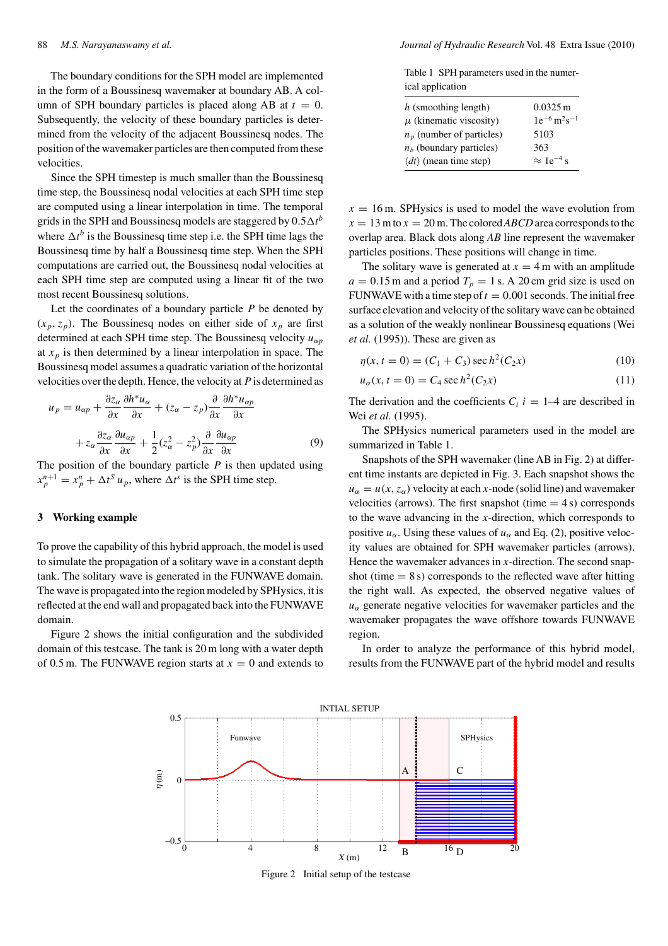The boundary conditions for the SPH model are implemented in the form of a Boussinesq wavemaker at boundary AB. A column of SPH boundary particles is placed along AB at  $t = 0$ . Subsequently, the velocity of these boundary particles is determined from the velocity of the adjacent Boussinesq nodes. The position of the wavemaker particles are then computed from these velocities.

Since the SPH timestep is much smaller than the Boussinesq time step, the Boussinesq nodal velocities at each SPH time step are computed using a linear interpolation in time. The temporal grids in the SPH and Boussinesq models are staggered by  $0.5\Delta t^b$ where  $\Delta t^b$  is the Boussinesq time step i.e. the SPH time lags the Boussinesq time by half a Boussinesq time step. When the SPH computations are carried out, the Boussinesq nodal velocities at each SPH time step are computed using a linear fit of the two most recent Boussinesq solutions.

Let the coordinates of a boundary particle *P* be denoted by  $(x_p, z_p)$ . The Boussinesq nodes on either side of  $x_p$  are first determined at each SPH time step. The Boussinesq velocity *uαp* at  $x_p$  is then determined by a linear interpolation in space. The Boussinesq model assumes a quadratic variation of the horizontal velocities over the depth. Hence, the velocity at*P* is determined as

$$
u_p = u_{\alpha p} + \frac{\partial z_{\alpha}}{\partial x} \frac{\partial h^* u_{\alpha}}{\partial x} + (z_{\alpha} - z_p) \frac{\partial}{\partial x} \frac{\partial h^* u_{\alpha p}}{\partial x} + z_{\alpha} \frac{\partial z_{\alpha}}{\partial x} \frac{\partial u_{\alpha p}}{\partial x} + \frac{1}{2} (z_{\alpha}^2 - z_p^2) \frac{\partial}{\partial x} \frac{\partial u_{\alpha p}}{\partial x}
$$
(9)

The position of the boundary particle *P* is then updated using  $x_p^{n+1} = x_p^n + \Delta t^S u_p$ , where  $\Delta t^s$  is the SPH time step.

# **3 Working example**

To prove the capability of this hybrid approach, the model is used to simulate the propagation of a solitary wave in a constant depth tank. The solitary wave is generated in the FUNWAVE domain. The wave is propagated into the region modeled by SPHysics, it is reflected at the end wall and propagated back into the FUNWAVE domain.

Figure 2 shows the initial configuration and the subdivided domain of this testcase. The tank is 20 m long with a water depth of 0.5 m. The FUNWAVE region starts at  $x = 0$  and extends to

Table 1 SPH parameters used in the numerical application

| $h$ (smoothing length)                | $0.0325 \,\mathrm{m}$                    |
|---------------------------------------|------------------------------------------|
| $\mu$ (kinematic viscosity)           | $1e^{-6}$ m <sup>2</sup> s <sup>-1</sup> |
| $n_p$ (number of particles)           | 5103                                     |
| $nb$ (boundary particles)             | 363                                      |
| $\langle dt \rangle$ (mean time step) | $\approx 1e^{-4}$ s                      |
|                                       |                                          |

 $x = 16$  m. SPHysics is used to model the wave evolution from  $x = 13$  m to  $x = 20$  m. The colored *ABCD* area corresponds to the overlap area. Black dots along *AB* line represent the wavemaker particles positions. These positions will change in time.

The solitary wave is generated at  $x = 4$  m with an amplitude  $a = 0.15$  m and a period  $T_p = 1$  s. A 20 cm grid size is used on FUNWAVE with a time step of  $t = 0.001$  seconds. The initial free surface elevation and velocity of the solitary wave can be obtained as a solution of the weakly nonlinear Boussinesq equations (Wei *et al.* (1995)). These are given as

$$
\eta(x, t = 0) = (C_1 + C_3) \sec h^2(C_2 x)
$$
\n(10)

$$
u_{\alpha}(x, t = 0) = C_4 \sec h^2(C_2 x)
$$
 (11)

The derivation and the coefficients  $C_i$  *i* = 1–4 are described in Wei *et al.* (1995).

The SPHysics numerical parameters used in the model are summarized in Table 1.

Snapshots of the SPH wavemaker (line AB in Fig. 2) at different time instants are depicted in Fig. 3. Each snapshot shows the  $u_{\alpha} = u(x, z_{\alpha})$  velocity at each *x*-node (solid line) and wavemaker velocities (arrows). The first snapshot (time  $= 4$  s) corresponds to the wave advancing in the *x*-direction, which corresponds to positive  $u_{\alpha}$ . Using these values of  $u_{\alpha}$  and Eq. (2), positive velocity values are obtained for SPH wavemaker particles (arrows). Hence the wavemaker advances in *x*-direction. The second snapshot (time  $= 8$  s) corresponds to the reflected wave after hitting the right wall. As expected, the observed negative values of  $u_{\alpha}$  generate negative velocities for wavemaker particles and the wavemaker propagates the wave offshore towards FUNWAVE region.

In order to analyze the performance of this hybrid model, results from the FUNWAVE part of the hybrid model and results



Figure 2 Initial setup of the testcase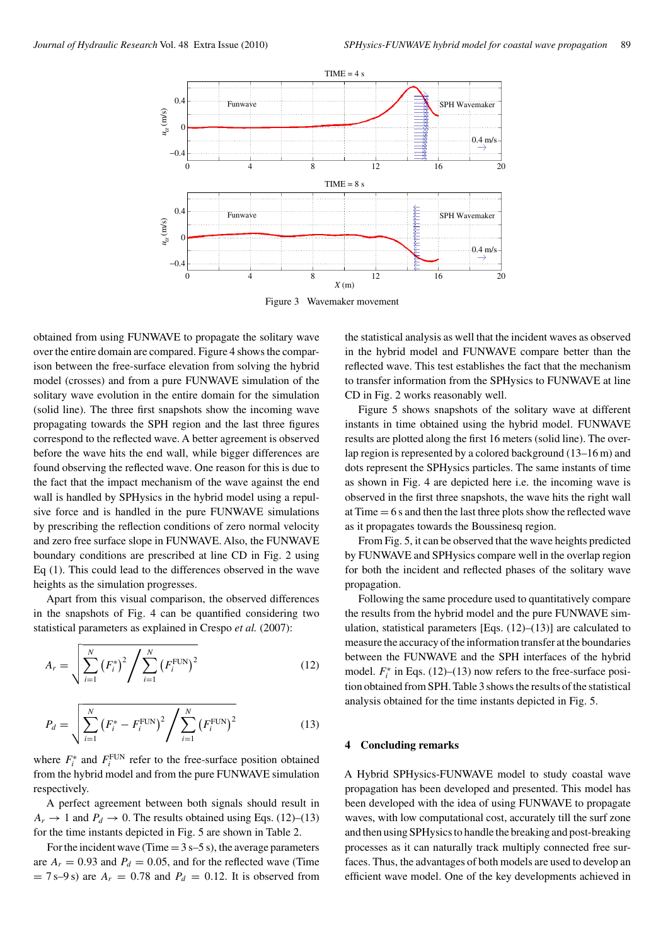

Figure 3 Wavemaker movement

obtained from using FUNWAVE to propagate the solitary wave over the entire domain are compared. Figure 4 shows the comparison between the free-surface elevation from solving the hybrid model (crosses) and from a pure FUNWAVE simulation of the solitary wave evolution in the entire domain for the simulation (solid line). The three first snapshots show the incoming wave propagating towards the SPH region and the last three figures correspond to the reflected wave. A better agreement is observed before the wave hits the end wall, while bigger differences are found observing the reflected wave. One reason for this is due to the fact that the impact mechanism of the wave against the end wall is handled by SPHysics in the hybrid model using a repulsive force and is handled in the pure FUNWAVE simulations by prescribing the reflection conditions of zero normal velocity and zero free surface slope in FUNWAVE. Also, the FUNWAVE boundary conditions are prescribed at line CD in Fig. 2 using Eq (1). This could lead to the differences observed in the wave heights as the simulation progresses.

Apart from this visual comparison, the observed differences in the snapshots of Fig. 4 can be quantified considering two statistical parameters as explained in Crespo *et al.* (2007):

$$
A_r = \sqrt{\sum_{i=1}^{N} (F_i^*)^2 / \sum_{i=1}^{N} (F_i^{\text{FUN}})^2}
$$
 (12)

$$
P_d = \sqrt{\sum_{i=1}^{N} (F_i^* - F_i^{\text{FUN}})^2 / \sum_{i=1}^{N} (F_i^{\text{FUN}})^2}
$$
(13)

where  $F_i^*$  and  $F_i^{\text{FUN}}$  refer to the free-surface position obtained from the hybrid model and from the pure FUNWAVE simulation respectively.

A perfect agreement between both signals should result in  $A_r \rightarrow 1$  and  $P_d \rightarrow 0$ . The results obtained using Eqs. (12)–(13) for the time instants depicted in Fig. 5 are shown in Table 2.

For the incident wave (Time  $=$  3 s–5 s), the average parameters are  $A_r = 0.93$  and  $P_d = 0.05$ , and for the reflected wave (Time  $= 7 s - 9 s$ ) are  $A_r = 0.78$  and  $P_d = 0.12$ . It is observed from

the statistical analysis as well that the incident waves as observed in the hybrid model and FUNWAVE compare better than the reflected wave. This test establishes the fact that the mechanism to transfer information from the SPHysics to FUNWAVE at line CD in Fig. 2 works reasonably well.

Figure 5 shows snapshots of the solitary wave at different instants in time obtained using the hybrid model. FUNWAVE results are plotted along the first 16 meters (solid line). The overlap region is represented by a colored background (13–16 m) and dots represent the SPHysics particles. The same instants of time as shown in Fig. 4 are depicted here i.e. the incoming wave is observed in the first three snapshots, the wave hits the right wall at  $Time = 6$  s and then the last three plots show the reflected wave as it propagates towards the Boussinesq region.

From Fig. 5, it can be observed that the wave heights predicted by FUNWAVE and SPHysics compare well in the overlap region for both the incident and reflected phases of the solitary wave propagation.

Following the same procedure used to quantitatively compare the results from the hybrid model and the pure FUNWAVE simulation, statistical parameters [Eqs.  $(12)$ – $(13)$ ] are calculated to measure the accuracy of the information transfer at the boundaries between the FUNWAVE and the SPH interfaces of the hybrid model. *F*<sup>∗</sup> *<sup>i</sup>* in Eqs. (12)–(13) now refers to the free-surface position obtained from SPH. Table 3 shows the results of the statistical analysis obtained for the time instants depicted in Fig. 5.

## **4 Concluding remarks**

A Hybrid SPHysics-FUNWAVE model to study coastal wave propagation has been developed and presented. This model has been developed with the idea of using FUNWAVE to propagate waves, with low computational cost, accurately till the surf zone and then using SPHysics to handle the breaking and post-breaking processes as it can naturally track multiply connected free surfaces. Thus, the advantages of both models are used to develop an efficient wave model. One of the key developments achieved in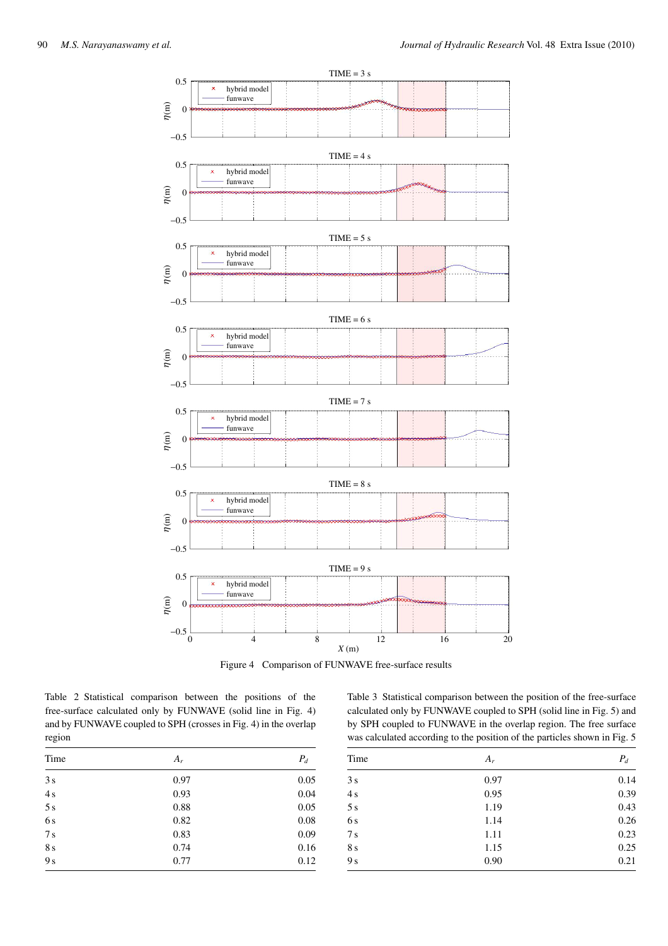

Figure 4 Comparison of FUNWAVE free-surface results

Table 2 Statistical comparison between the positions of the free-surface calculated only by FUNWAVE (solid line in Fig. 4) and by FUNWAVE coupled to SPH (crosses in Fig. 4) in the overlap region

Table 3 Statistical comparison between the position of the free-surface calculated only by FUNWAVE coupled to SPH (solid line in Fig. 5) and by SPH coupled to FUNWAVE in the overlap region. The free surface was calculated according to the position of the particles shown in Fig. 5

| Time           | $A_r$ | $P_d$ |
|----------------|-------|-------|
| 3s             | 0.97  | 0.05  |
| 4s             | 0.93  | 0.04  |
| 5s             | 0.88  | 0.05  |
| 6 s            | 0.82  | 0.08  |
| 7s             | 0.83  | 0.09  |
| 8s             | 0.74  | 0.16  |
| 9 <sub>s</sub> | 0.77  | 0.12  |

| Time            | $A_r$ | $P_d$ |
|-----------------|-------|-------|
| 3s              | 0.97  | 0.14  |
| 4s              | 0.95  | 0.39  |
| 5s              | 1.19  | 0.43  |
| 6s              | 1.14  | 0.26  |
| $7\,\mathrm{s}$ | 1.11  | 0.23  |
| 8 s             | 1.15  | 0.25  |
| 9 <sub>s</sub>  | 0.90  | 0.21  |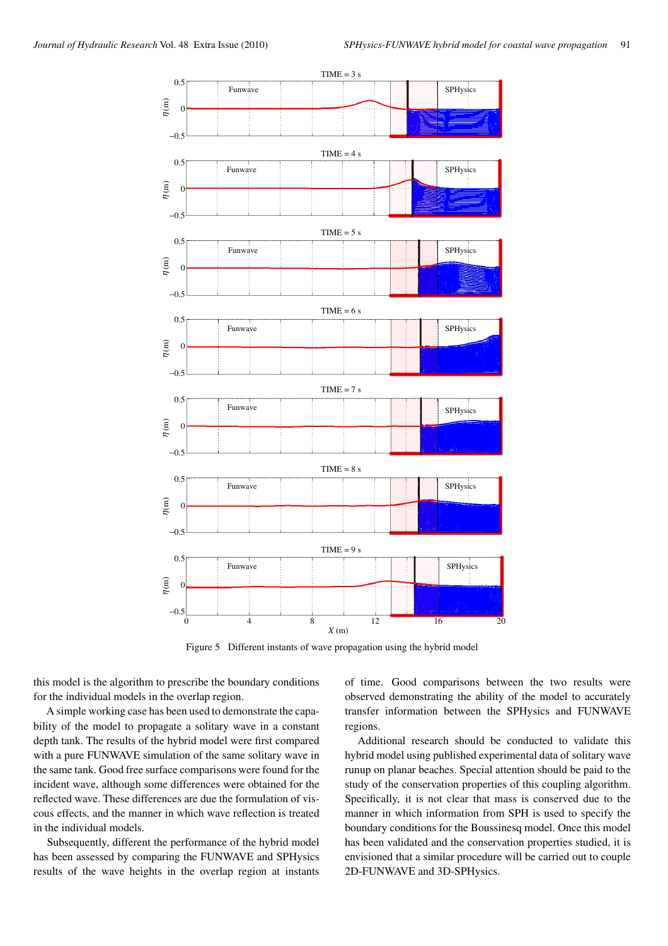

Figure 5 Different instants of wave propagation using the hybrid model

this model is the algorithm to prescribe the boundary conditions for the individual models in the overlap region.

A simple working case has been used to demonstrate the capability of the model to propagate a solitary wave in a constant depth tank. The results of the hybrid model were first compared with a pure FUNWAVE simulation of the same solitary wave in the same tank. Good free surface comparisons were found for the incident wave, although some differences were obtained for the reflected wave. These differences are due the formulation of viscous effects, and the manner in which wave reflection is treated in the individual models.

Subsequently, different the performance of the hybrid model has been assessed by comparing the FUNWAVE and SPHysics results of the wave heights in the overlap region at instants of time. Good comparisons between the two results were observed demonstrating the ability of the model to accurately transfer information between the SPHysics and FUNWAVE regions.

Additional research should be conducted to validate this hybrid model using published experimental data of solitary wave runup on planar beaches. Special attention should be paid to the study of the conservation properties of this coupling algorithm. Specifically, it is not clear that mass is conserved due to the manner in which information from SPH is used to specify the boundary conditions for the Boussinesq model. Once this model has been validated and the conservation properties studied, it is envisioned that a similar procedure will be carried out to couple 2D-FUNWAVE and 3D-SPHysics.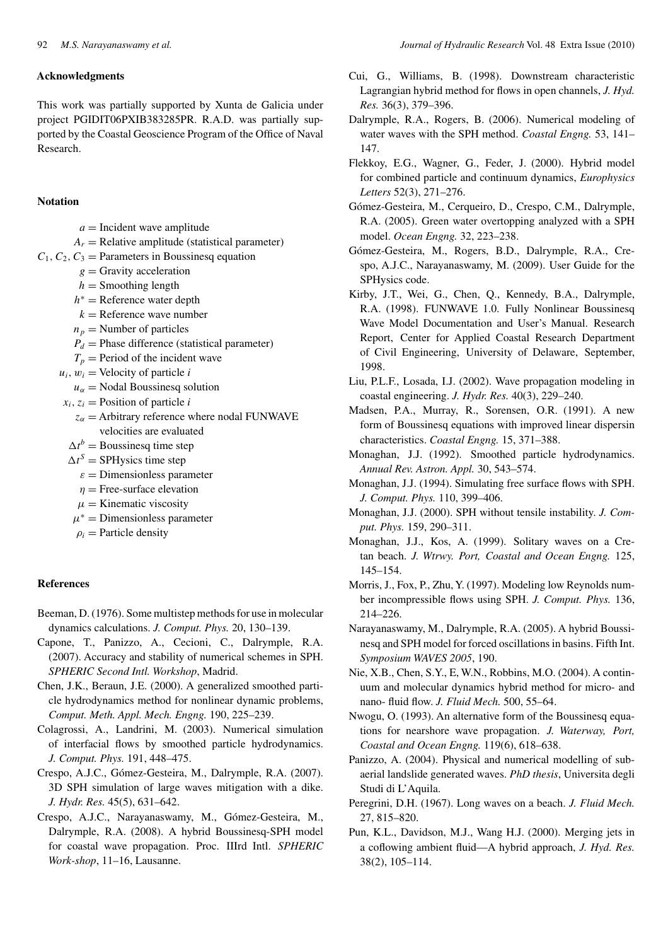#### **Acknowledgments**

This work was partially supported by Xunta de Galicia under project PGIDIT06PXIB383285PR. R.A.D. was partially supported by the Coastal Geoscience Program of the Office of Naval Research.

#### **Notation**

- $a =$ Incident wave amplitude
- $A_r$  = Relative amplitude (statistical parameter)
- $C_1, C_2, C_3$  = Parameters in Boussinesq equation
	- $g =$  Gravity acceleration
	- $h =$  Smoothing length
	- *h*<sup>∗</sup> = Reference water depth
	- $k =$  Reference wave number
	- $n_p$  = Number of particles
	- $P_d$  = Phase difference (statistical parameter)
	- $T_p$  = Period of the incident wave
	- $u_i$ ,  $w_i$  = Velocity of particle *i*
	- $u_{\alpha}$  = Nodal Boussinesq solution
	- $x_i$ ,  $z_i$  = Position of particle *i* 
		- $z_{\alpha}$  = Arbitrary reference where nodal FUNWAVE velocities are evaluated
	- $\Delta t^b$  = Boussinesq time step
	- $\Delta t^S$  = SPHysics time step
		- $\varepsilon$  = Dimensionless parameter
		- *η* = Free-surface elevation
		- $\mu$  = Kinematic viscosity
	- $\mu^*$  = Dimensionless parameter
	- $\rho_i$  = Particle density

#### **References**

- Beeman, D. (1976). Some multistep methods for use in molecular dynamics calculations. *J. Comput. Phys.* 20, 130–139.
- Capone, T., Panizzo, A., Cecioni, C., Dalrymple, R.A. (2007). Accuracy and stability of numerical schemes in SPH. *SPHERIC Second Intl. Workshop*, Madrid.
- Chen, J.K., Beraun, J.E. (2000). A generalized smoothed particle hydrodynamics method for nonlinear dynamic problems, *Comput. Meth. Appl. Mech. Engng.* 190, 225–239.
- Colagrossi, A., Landrini, M. (2003). Numerical simulation of interfacial flows by smoothed particle hydrodynamics. *J. Comput. Phys.* 191, 448–475.
- Crespo, A.J.C., Gómez-Gesteira, M., Dalrymple, R.A. (2007). 3D SPH simulation of large waves mitigation with a dike. *J. Hydr. Res.* 45(5), 631–642.
- Crespo, A.J.C., Narayanaswamy, M., Gómez-Gesteira, M., Dalrymple, R.A. (2008). A hybrid Boussinesq-SPH model for coastal wave propagation. Proc. IIIrd Intl. *SPHERIC Work-shop*, 11–16, Lausanne.
- Cui, G., Williams, B. (1998). Downstream characteristic Lagrangian hybrid method for flows in open channels, *J. Hyd. Res.* 36(3), 379–396.
- Dalrymple, R.A., Rogers, B. (2006). Numerical modeling of water waves with the SPH method. *Coastal Engng.* 53, 141– 147.
- Flekkoy, E.G., Wagner, G., Feder, J. (2000). Hybrid model for combined particle and continuum dynamics, *Europhysics Letters* 52(3), 271–276.
- Gómez-Gesteira, M., Cerqueiro, D., Crespo, C.M., Dalrymple, R.A. (2005). Green water overtopping analyzed with a SPH model. *Ocean Engng.* 32, 223–238.
- Gómez-Gesteira, M., Rogers, B.D., Dalrymple, R.A., Crespo, A.J.C., Narayanaswamy, M. (2009). User Guide for the SPHysics code.
- Kirby, J.T., Wei, G., Chen, Q., Kennedy, B.A., Dalrymple, R.A. (1998). FUNWAVE 1.0. Fully Nonlinear Boussinesq Wave Model Documentation and User's Manual. Research Report, Center for Applied Coastal Research Department of Civil Engineering, University of Delaware, September, 1998.
- Liu, P.L.F., Losada, I.J. (2002). Wave propagation modeling in coastal engineering. *J. Hydr. Res.* 40(3), 229–240.
- Madsen, P.A., Murray, R., Sorensen, O.R. (1991). A new form of Boussinesq equations with improved linear dispersin characteristics. *Coastal Engng.* 15, 371–388.
- Monaghan, J.J. (1992). Smoothed particle hydrodynamics. *Annual Rev. Astron. Appl.* 30, 543–574.
- Monaghan, J.J. (1994). Simulating free surface flows with SPH. *J. Comput. Phys.* 110, 399–406.
- Monaghan, J.J. (2000). SPH without tensile instability. *J. Comput. Phys.* 159, 290–311.
- Monaghan, J.J., Kos, A. (1999). Solitary waves on a Cretan beach. *J. Wtrwy. Port, Coastal and Ocean Engng.* 125, 145–154.
- Morris, J., Fox, P., Zhu, Y. (1997). Modeling low Reynolds number incompressible flows using SPH. *J. Comput. Phys.* 136, 214–226.
- Narayanaswamy, M., Dalrymple, R.A. (2005). A hybrid Boussinesq and SPH model for forced oscillations in basins. Fifth Int. *Symposium WAVES 2005*, 190.

Nie, X.B., Chen, S.Y., E, W.N., Robbins, M.O. (2004). A continuum and molecular dynamics hybrid method for micro- and nano- fluid flow. *J. Fluid Mech.* 500, 55–64.

Nwogu, O. (1993). An alternative form of the Boussinesq equations for nearshore wave propagation. *J. Waterway, Port, Coastal and Ocean Engng.* 119(6), 618–638.

- Panizzo, A. (2004). Physical and numerical modelling of subaerial landslide generated waves. *PhD thesis*, Universita degli Studi di L'Aquila.
- Peregrini, D.H. (1967). Long waves on a beach. *J. Fluid Mech.* 27, 815–820.
- Pun, K.L., Davidson, M.J., Wang H.J. (2000). Merging jets in a coflowing ambient fluid—A hybrid approach, *J. Hyd. Res.* 38(2), 105–114.